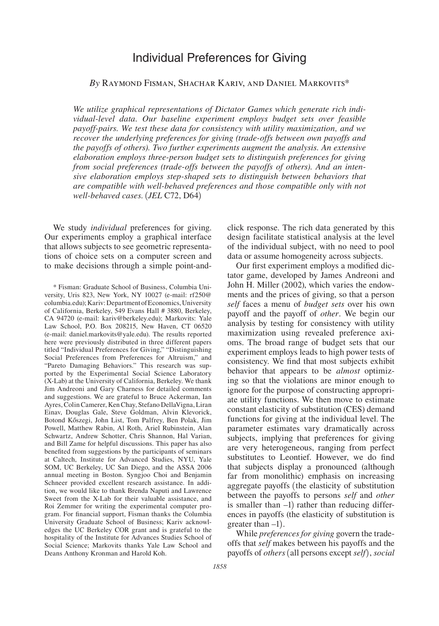# *By* Raymond Fisman, Shachar Kariv, and Daniel Markovits\*

*We utilize graphical representations of Dictator Games which generate rich individual-level data. Our baseline experiment employs budget sets over feasible payoff-pairs. We test these data for consistency with utility maximization, and we recover the underlying preferences for giving (trade-offs between own payoffs and the payoffs of others). Two further experiments augment the analysis. An extensive elaboration employs three-person budget sets to distinguish preferences for giving from social preferences (trade-offs between the payoffs of others). And an intensive elaboration employs step-shaped sets to distinguish between behaviors that are compatible with well-behaved preferences and those compatible only with not well-behaved cases.* (*JEL C72*, D64)

We study *individual* preferences for giving. Our experiments employ a graphical interface that allows subjects to see geometric representations of choice sets on a computer screen and to make decisions through a simple point-andclick response. The rich data generated by this design facilitate statistical analysis at the level of the individual subject, with no need to pool data or assume homogeneity across subjects.

Our first experiment employs a modified dictator game, developed by James Andreoni and John H. Miller (2002), which varies the endowments and the prices of giving, so that a person *self* faces a menu of *budget sets* over his own payoff and the payoff of *other*. We begin our analysis by testing for consistency with utility maximization using revealed preference axioms. The broad range of budget sets that our experiment employs leads to high power tests of consistency. We find that most subjects exhibit behavior that appears to be *almost* optimizing so that the violations are minor enough to ignore for the purpose of constructing appropriate utility functions. We then move to estimate constant elasticity of substitution (CES) demand functions for giving at the individual level. The parameter estimates vary dramatically across subjects, implying that preferences for giving are very heterogeneous, ranging from perfect substitutes to Leontief. However, we do find that subjects display a pronounced (although far from monolithic) emphasis on increasing aggregate payoffs (the elasticity of substitution between the payoffs to persons *self* and *other* is smaller than  $-1$ ) rather than reducing differences in payoffs (the elasticity of substitution is greater than  $-1$ ).

While *preferences for giving* govern the tradeoffs that *self* makes between his payoffs and the payoffs of *others* (all persons except *self*), *social* 

<sup>\*</sup> Fisman: Graduate School of Business, Columbia University, Uris 823, New York, NY 10027 (e-mail: rf250@ columbia.edu); Kariv: Department of Economics, University of California, Berkeley, 549 Evans Hall # 3880, Berkeley, CA 94720 (e-mail: kariv@berkeley.edu); Markovits: Yale Law School, P.O. Box 208215, New Haven, CT 06520 (e-mail: daniel.markovits@yale.edu). The results reported here were previously distributed in three different papers titled "Individual Preferences for Giving," "Distinguishing Social Preferences from Preferences for Altruism," and "Pareto Damaging Behaviors." This research was supported by the Experimental Social Science Laboratory (X-Lab) at the University of California, Berkeley. We thank Jim Andreoni and Gary Charness for detailed comments and suggestions. We are grateful to Bruce Ackerman, Ian Ayres, Colin Camerer, Ken Chay, Stefano DellaVigna, Liran Einav, Douglas Gale, Steve Goldman, Alvin Klevorick, Botond Kőszegi, John List, Tom Palfrey, Ben Polak, Jim Powell, Matthew Rabin, Al Roth, Ariel Rubinstein, Alan Schwartz, Andrew Schotter, Chris Shannon, Hal Varian, and Bill Zame for helpful discussions. This paper has also benefited from suggestions by the participants of seminars at Caltech, Institute for Advanced Studies, NYU, Yale SOM, UC Berkeley, UC San Diego, and the ASSA 2006 annual meeting in Boston. Syngjoo Choi and Benjamin Schneer provided excellent research assistance. In addition, we would like to thank Brenda Naputi and Lawrence Sweet from the X-Lab for their valuable assistance, and Roi Zemmer for writing the experimental computer program. For financial support, Fisman thanks the Columbia University Graduate School of Business; Kariv acknowledges the UC Berkeley COR grant and is grateful to the hospitality of the Institute for Advances Studies School of Social Science; Markovits thanks Yale Law School and Deans Anthony Kronman and Harold Koh.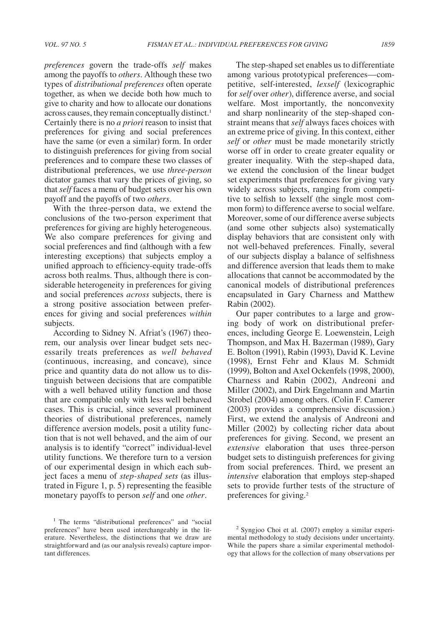*preferences* govern the trade-offs *self* makes among the payoffs to *others*. Although these two types of *distributional preferences* often operate together, as when we decide both how much to give to charity and how to allocate our donations across causes, they remain conceptually distinct.<sup>1</sup> Certainly there is no *a priori* reason to insist that preferences for giving and social preferences have the same (or even a similar) form. In order to distinguish preferences for giving from social preferences and to compare these two classes of distributional preferences, we use *three-person* dictator games that vary the prices of giving, so that *self* faces a menu of budget sets over his own payoff and the payoffs of two *others*.

With the three-person data, we extend the conclusions of the two-person experiment that preferences for giving are highly heterogeneous. We also compare preferences for giving and social preferences and find (although with a few interesting exceptions) that subjects employ a unified approach to efficiency-equity trade-offs across both realms. Thus, although there is considerable heterogeneity in preferences for giving and social preferences *across* subjects, there is a strong positive association between preferences for giving and social preferences *within* subjects.

According to Sidney N. Afriat's (1967) theorem, our analysis over linear budget sets necessarily treats preferences as *well behaved* (continuous, increasing, and concave), since price and quantity data do not allow us to distinguish between decisions that are compatible with a well behaved utility function and those that are compatible only with less well behaved cases. This is crucial, since several prominent theories of distributional preferences, namely difference aversion models, posit a utility function that is not well behaved, and the aim of our analysis is to identify "correct" individual-level utility functions. We therefore turn to a version of our experimental design in which each subject faces a menu of *step-shaped sets* (as illustrated in Figure 1, p. 5) representing the feasible monetary payoffs to person *self* and one *other*.

The step-shaped set enables us to differentiate among various prototypical preferences—competitive, self-interested, *lexself* (lexicographic for *self* over *other*), difference averse, and social welfare. Most importantly, the nonconvexity and sharp nonlinearity of the step-shaped constraint means that *self* always faces choices with an extreme price of giving. In this context, either *self* or *other* must be made monetarily strictly worse off in order to create greater equality or greater inequality. With the step-shaped data, we extend the conclusion of the linear budget set experiments that preferences for giving vary widely across subjects, ranging from competitive to selfish to lexself (the single most common form) to difference averse to social welfare. Moreover, some of our difference averse subjects (and some other subjects also) systematically display behaviors that are consistent only with not well-behaved preferences. Finally, several of our subjects display a balance of selfishness and difference aversion that leads them to make allocations that cannot be accommodated by the canonical models of distributional preferences encapsulated in Gary Charness and Matthew Rabin (2002).

Our paper contributes to a large and growing body of work on distributional preferences, including George E. Loewenstein, Leigh Thompson, and Max H. Bazerman (1989), Gary E. Bolton (1991), Rabin (1993), David K. Levine (1998), Ernst Fehr and Klaus M. Schmidt (1999), Bolton and Axel Ockenfels (1998, 2000), Charness and Rabin (2002), Andreoni and Miller (2002), and Dirk Engelmann and Martin Strobel (2004) among others. (Colin F. Camerer (2003) provides a comprehensive discussion.) First, we extend the analysis of Andreoni and Miller (2002) by collecting richer data about preferences for giving. Second, we present an *extensive* elaboration that uses three-person budget sets to distinguish preferences for giving from social preferences. Third, we present an *intensive* elaboration that employs step-shaped sets to provide further tests of the structure of preferences for giving.2

<sup>&</sup>lt;sup>1</sup> The terms "distributional preferences" and "social preferences" have been used interchangeably in the literature. Nevertheless, the distinctions that we draw are straightforward and (as our analysis reveals) capture important differences.

 $2$  Syngjoo Choi et al. (2007) employ a similar experimental methodology to study decisions under uncertainty. While the papers share a similar experimental methodology that allows for the collection of many observations per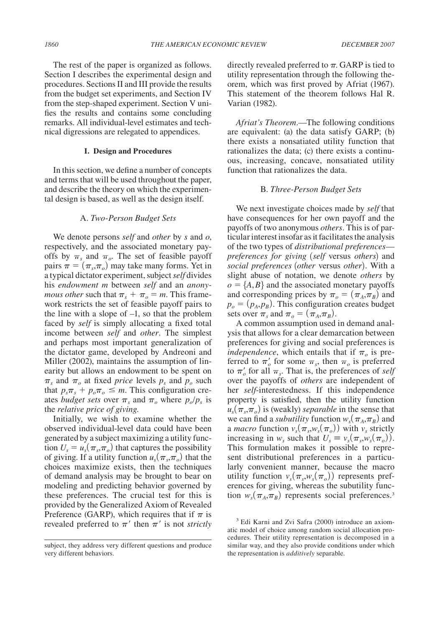The rest of the paper is organized as follows. Section I describes the experimental design and procedures. Sections II and III provide the results from the budget set experiments, and Section IV from the step-shaped experiment. Section V unifies the results and contains some concluding remarks. All individual-level estimates and technical digressions are relegated to appendices.

#### **I. Design and Procedures**

In this section, we define a number of concepts and terms that will be used throughout the paper, and describe the theory on which the experimental design is based, as well as the design itself.

### A. *Two-Person Budget Sets*

We denote persons *self* and *other* by *s* and *o*, respectively, and the associated monetary payoffs by  $\pi_s$  and  $\pi_o$ . The set of feasible payoff pairs  $\pi = (\pi_s, \pi_o)$  may take many forms. Yet in a typical dictator experiment, subject *self* divides his *endowment m* between *self* and an *anonymous other* such that  $\pi_s + \pi_o = m$ . This framework restricts the set of feasible payoff pairs to the line with a slope of  $-1$ , so that the problem faced by *self* is simply allocating a fixed total income between *self* and *other*. The simplest and perhaps most important generalization of the dictator game, developed by Andreoni and Miller (2002), maintains the assumption of linearity but allows an endowment to be spent on  $\pi_s$  and  $\pi_o$  at fixed *price* levels  $p_s$  and  $p_o$  such that  $p_s \pi_s + p_o \pi_o \leq m$ . This configuration creates *budget sets* over  $\pi_s$  and  $\pi_o$  where  $p_o/p_s$  is the *relative price of giving*.

Initially, we wish to examine whether the observed individual-level data could have been generated by a subject maximizing a utility function  $U_s = u_s(\pi_s, \pi_o)$  that captures the possibility of giving. If a utility function  $u_s(\pi_s, \pi_o)$  that the choices maximize exists, then the techniques of demand analysis may be brought to bear on modeling and predicting behavior governed by these preferences. The crucial test for this is provided by the Generalized Axiom of Revealed Preference (GARP), which requires that if  $\pi$  is revealed preferred to  $\pi'$  then  $\pi'$  is not *strictly*  directly revealed preferred to  $\pi$ . GARP is tied to utility representation through the following theorem, which was first proved by Afriat (1967). This statement of the theorem follows Hal R. Varian (1982).

*Afriat's Theorem*.—The following conditions are equivalent: (a) the data satisfy GARP; (b) there exists a nonsatiated utility function that rationalizes the data; (c) there exists a continuous, increasing, concave, nonsatiated utility function that rationalizes the data.

#### B. *Three-Person Budget Sets*

We next investigate choices made by *self* that have consequences for her own payoff and the payoffs of two anonymous *others*. This is of particular interest insofar as it facilitates the analysis of the two types of *distributional preferences preferences for giving* (*self* versus *others*) and *social preferences* (*other* versus *other*). With a slight abuse of notation, we denote *others* by  $o = \{A, B\}$  and the associated monetary payoffs and corresponding prices by  $\pi_o = (\pi_A, \pi_B)$  and  $p_o = (p_A, p_B)$ . This configuration creates budget sets over  $\pi_s$  and  $\pi_o = (\pi_A, \pi_B)$ .

A common assumption used in demand analysis that allows for a clear demarcation between preferences for giving and social preferences is *independence*, which entails that if  $\pi_o$  is preferred to  $\pi'_{\rho}$  for some  $\pi_{s}$ , then  $\pi_{\rho}$  is preferred to  $\pi'_{\rho}$  for all  $\pi_{s}$ . That is, the preferences of *self* over the payoffs of *others* are independent of her *self*-interestedness. If this independence property is satisfied, then the utility function  $u_s(\pi_s, \pi_o)$  is (weakly) *separable* in the sense that we can find a *subutility* function  $w_s(\pi_A, \pi_B)$  and a *macro* function  $v_s(\pi_s, w_s(\pi_o))$  with  $v_s$  strictly increasing in  $w_s$  such that  $U_s \equiv v_s(\pi_s, w_s(\pi_o))$ . This formulation makes it possible to represent distributional preferences in a particularly convenient manner, because the macro utility function  $v_s(\pi_s, w_s(\pi_o))$  represents preferences for giving, whereas the subutility function  $w_s(\pi_A, \pi_B)$  represents social preferences.<sup>3</sup>

subject, they address very different questions and produce very different behaviors.

<sup>&</sup>lt;sup>3</sup> Edi Karni and Zvi Safra (2000) introduce an axiomatic model of choice among random social allocation procedures. Their utility representation is decomposed in a similar way, and they also provide conditions under which the representation is *additively* separable.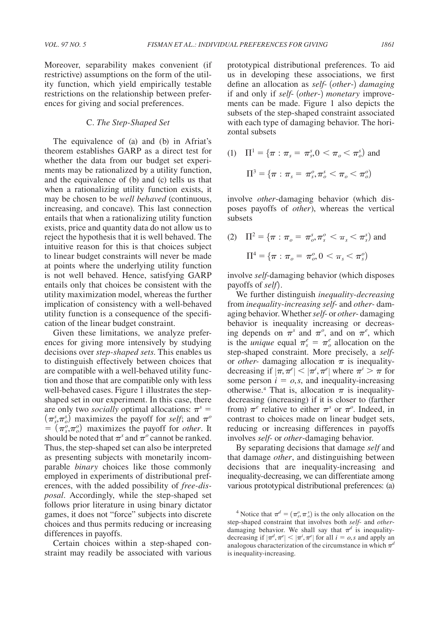Moreover, separability makes convenient (if restrictive) assumptions on the form of the utility function, which yield empirically testable restrictions on the relationship between preferences for giving and social preferences.

### C. *The Step-Shaped Set*

The equivalence of (a) and (b) in Afriat's theorem establishes GARP as a direct test for whether the data from our budget set experiments may be rationalized by a utility function, and the equivalence of (b) and (c) tells us that when a rationalizing utility function exists, it may be chosen to be *well behaved* (continuous, increasing, and concave). This last connection entails that when a rationalizing utility function exists, price and quantity data do not allow us to reject the hypothesis that it is well behaved. The intuitive reason for this is that choices subject to linear budget constraints will never be made at points where the underlying utility function is not well behaved. Hence, satisfying GARP entails only that choices be consistent with the utility maximization model, whereas the further implication of consistency with a well-behaved utility function is a consequence of the specification of the linear budget constraint.

Given these limitations, we analyze preferences for giving more intensively by studying decisions over *step-shaped sets*. This enables us to distinguish effectively between choices that are compatible with a well-behaved utility function and those that are compatible only with less well-behaved cases. Figure 1 illustrates the stepshaped set in our experiment. In this case, there are only two *socially* optimal allocations:  $\pi$ <sup>*s*</sup> =  $(\pi_s^s, \pi_o^s)$  maximizes the payoff for *self*; and  $\pi^o$  $= (\pi_s^o, \pi_o^o)$  maximizes the payoff for *other*. It should be noted that  $\pi^s$  and  $\pi^o$  cannot be ranked. Thus, the step-shaped set can also be interpreted as presenting subjects with monetarily incomparable *binary* choices like those commonly employed in experiments of distributional preferences, with the added possibility of *free-disposal*. Accordingly, while the step-shaped set follows prior literature in using binary dictator games, it does not "force" subjects into discrete choices and thus permits reducing or increasing differences in payoffs.

Certain choices within a step-shaped constraint may readily be associated with various prototypical distributional preferences. To aid us in developing these associations, we first define an allocation as *self-* (other-) damaging if and only if *self-* (*other-*) *monetary* improvements can be made. Figure 1 also depicts the subsets of the step-shaped constraint associated with each type of damaging behavior. The horizontal subsets

(1) 
$$
\Pi^1 = {\pi : \pi_s = \pi_s^s, 0 < \pi_o < \pi_o^s}
$$
 and  

$$
\Pi^3 = {\pi : \pi_s = \pi_s^o, \pi_o^s < \pi_o < \pi_o^o}
$$

involve *other*-damaging behavior (which disposes payoffs of *other*), whereas the vertical subsets

(2) 
$$
\Pi^2 = {\pi : \pi_o = \pi_o^s, \pi_s^o < \pi_s < \pi_s^s}
$$
 and  
\n $\Pi^4 = {\pi : \pi_o = \pi_o^o, 0 < \pi_s < \pi_s^o}$ 

involve *self*-damaging behavior (which disposes payoffs of *self*).

We further distinguish *inequality-decreasing* from *inequality-increasing self*- and *other-* damaging behavior. Whether *self*- or *other-* damaging behavior is inequality increasing or decreasing depends on  $\pi^s$  and  $\pi^o$ , and on  $\pi^e$ , which is the *unique* equal  $\pi_s^e = \pi_o^e$  allocation on the step-shaped constraint. More precisely, a *self*or *other*- damaging allocation  $\pi$  is inequalitydecreasing if  $|\pi,\pi^e| < |\pi^i,\pi^e|$  where  $\pi^i > \pi$  for some person  $i = 0, s$ , and inequality-increasing otherwise.<sup>4</sup> That is, allocation  $\pi$  is inequalitydecreasing (increasing) if it is closer to (farther from)  $\pi^e$  relative to either  $\pi^s$  or  $\pi^o$ . Indeed, in contrast to choices made on linear budget sets, reducing or increasing differences in payoffs involves *self-* or *other*-damaging behavior.

By separating decisions that damage *self* and that damage *other*, and distinguishing between decisions that are inequality-increasing and inequality-decreasing, we can differentiate among various prototypical distributional preferences: (a)

<sup>&</sup>lt;sup>4</sup> Notice that  $\pi^d = (\pi_s^o, \pi_s^s)$  is the only allocation on the step-shaped constraint that involves both *self*- and *other*damaging behavior. We shall say that  $\pi^d$  is inequalitydecreasing if  $|\pi^d, \pi^e| < |\pi^i, \pi^e|$  for all  $i = o$ , *s* and apply an analogous characterization of the circumstance in which  $\pi$ <sup>*d*</sup> is inequality-increasing.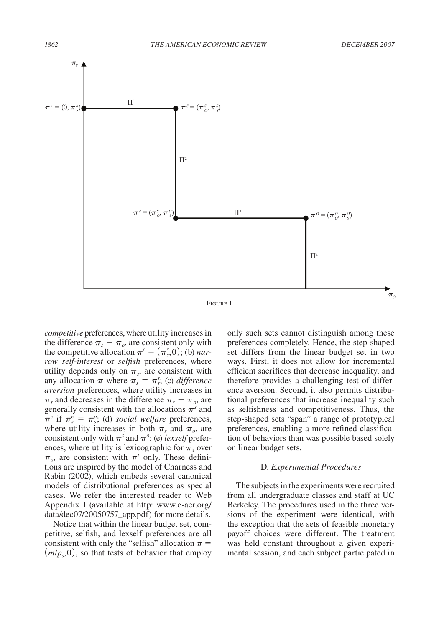

Figure 1

*competitive* preferences, where utility increases in the difference  $\pi_s - \pi_o$ , are consistent only with the competitive allocation  $\pi^c = (\pi_s^s, 0)$ ; (b) *narrow self-interest* or *selfish* preferences, where utility depends only on  $\pi_s$ , are consistent with any allocation  $\pi$  where  $\pi_s = \pi_s^s$ ; (c) *difference aversion* preferences, where utility increases in  $\pi_s$  and decreases in the difference  $\pi_s - \pi_o$ , are generally consistent with the allocations  $\pi^s$  and  $\pi^e$  if  $\pi^e$  =  $\pi^o$ ; (d) *social welfare* preferences, where utility increases in both  $\pi_s$  and  $\pi_o$ , are consistent only with  $\pi^s$  and  $\pi^o$ ; (e) *lexself* preferences, where utility is lexicographic for  $\pi$ , over  $\pi_o$ , are consistent with  $\pi^s$  only. These definitions are inspired by the model of Charness and Rabin (2002), which embeds several canonical models of distributional preferences as special cases. We refer the interested reader to Web Appendix I (available at http: www.e-aer.org/ data/dec07/20050757\_app.pdf) for more details.

Notice that within the linear budget set, competitive, selfish, and lexself preferences are all consistent with only the "selfish" allocation  $\pi$  =  $(m/p_s, 0)$ , so that tests of behavior that employ

only such sets cannot distinguish among these preferences completely. Hence, the step-shaped set differs from the linear budget set in two ways. First, it does not allow for incremental efficient sacrifices that decrease inequality, and therefore provides a challenging test of difference aversion. Second, it also permits distributional preferences that increase inequality such as selfishness and competitiveness. Thus, the step-shaped sets "span" a range of prototypical preferences, enabling a more refined classification of behaviors than was possible based solely on linear budget sets.

#### D. *Experimental Procedures*

The subjects in the experiments were recruited from all undergraduate classes and staff at UC Berkeley. The procedures used in the three versions of the experiment were identical, with the exception that the sets of feasible monetary payoff choices were different. The treatment was held constant throughout a given experimental session, and each subject participated in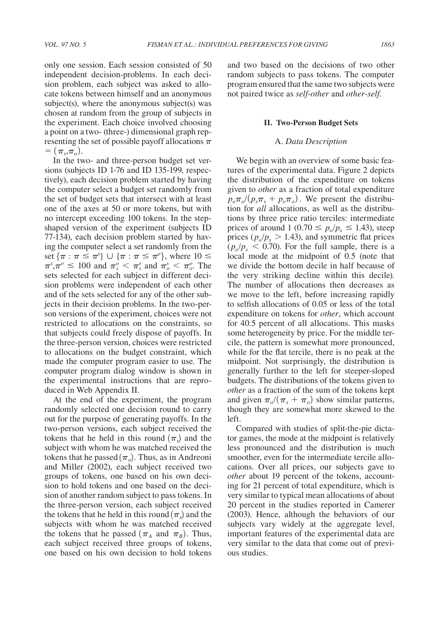only one session. Each session consisted of 50 independent decision-problems. In each decision problem, each subject was asked to allocate tokens between himself and an anonymous subject(s), where the anonymous subject(s) was chosen at random from the group of subjects in the experiment. Each choice involved choosing a point on a two- (three-) dimensional graph representing the set of possible payoff allocations  $\pi$  $= (\pi_s, \pi_o).$ 

In the two- and three-person budget set versions (subjects ID 1-76 and ID 135-199, respectively), each decision problem started by having the computer select a budget set randomly from the set of budget sets that intersect with at least one of the axes at 50 or more tokens, but with no intercept exceeding 100 tokens. In the stepshaped version of the experiment (subjects ID 77-134), each decision problem started by having the computer select a set randomly from the set  $\{\pi : \pi \leq \pi^s\} \cup \{\pi : \pi \leq \pi^o\}$ , where  $10 \leq$  $\pi^s, \pi^o \leq 100$  and  $\pi^o_s < \pi^s_s$  and  $\pi^s_o < \pi^o_o$ . The sets selected for each subject in different decision problems were independent of each other and of the sets selected for any of the other subjects in their decision problems. In the two-person versions of the experiment, choices were not restricted to allocations on the constraints, so that subjects could freely dispose of payoffs. In the three-person version, choices were restricted to allocations on the budget constraint, which made the computer program easier to use. The computer program dialog window is shown in the experimental instructions that are reproduced in Web Appendix II.

At the end of the experiment, the program randomly selected one decision round to carry out for the purpose of generating payoffs. In the two-person versions, each subject received the tokens that he held in this round  $(\pi_s)$  and the subject with whom he was matched received the tokens that he passed  $(\pi_o)$ . Thus, as in Andreoni and Miller (2002), each subject received two groups of tokens, one based on his own decision to hold tokens and one based on the decision of another random subject to pass tokens. In the three-person version, each subject received the tokens that he held in this round  $(\pi_s)$  and the subjects with whom he was matched received the tokens that he passed ( $\pi_A$  and  $\pi_B$ ). Thus, each subject received three groups of tokens, one based on his own decision to hold tokens and two based on the decisions of two other random subjects to pass tokens. The computer program ensured that the same two subjects were not paired twice as *self*-*other* and *other*-*self*.

#### **II. Two-Person Budget Sets**

#### A. *Data Description*

We begin with an overview of some basic features of the experimental data. Figure 2 depicts the distribution of the expenditure on tokens given to *other* as a fraction of total expenditure  $p_o\pi_o/(p_s\pi_s + p_o\pi_o)$ . We present the distribution for *all* allocations, as well as the distributions by three price ratio terciles: intermediate prices of around 1 (0.70  $\leq p_o/p_s \leq 1.43$ ), steep prices ( $p_o/p_s > 1.43$ ), and symmetric flat prices  $(p_o/p_s < 0.70)$ . For the full sample, there is a local mode at the midpoint of 0.5 (note that we divide the bottom decile in half because of the very striking decline within this decile). The number of allocations then decreases as we move to the left, before increasing rapidly to selfish allocations of 0.05 or less of the total expenditure on tokens for *other*, which account for 40.5 percent of all allocations. This masks some heterogeneity by price. For the middle tercile, the pattern is somewhat more pronounced, while for the flat tercile, there is no peak at the midpoint. Not surprisingly, the distribution is generally further to the left for steeper-sloped budgets. The distributions of the tokens given to *other* as a fraction of the sum of the tokens kept and given  $\pi_o/(\pi_s + \pi_o)$  show similar patterns, though they are somewhat more skewed to the left.

Compared with studies of split-the-pie dictator games, the mode at the midpoint is relatively less pronounced and the distribution is much smoother, even for the intermediate tercile allocations. Over all prices, our subjects gave to *other* about 19 percent of the tokens, accounting for 21 percent of total expenditure, which is very similar to typical mean allocations of about 20 percent in the studies reported in Camerer (2003). Hence, although the behaviors of our subjects vary widely at the aggregate level, important features of the experimental data are very similar to the data that come out of previous studies.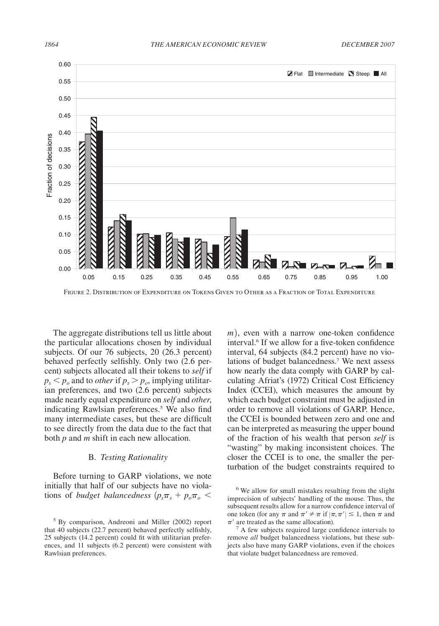

Figure 2. Distribution of Expenditure on Tokens Given to Other as a Fraction of Total Expenditure

The aggregate distributions tell us little about the particular allocations chosen by individual subjects. Of our 76 subjects, 20 (26.3 percent) behaved perfectly selfishly. Only two (2.6 percent) subjects allocated all their tokens to *self* if  $p_s$  <  $p_o$  and to *other* if  $p_s$  >  $p_o$ , implying utilitarian preferences, and two (2.6 percent) subjects made nearly equal expenditure on *self* and *other*, indicating Rawlsian preferences.<sup>5</sup> We also find many intermediate cases, but these are difficult to see directly from the data due to the fact that both *p* and *m* shift in each new allocation.

#### B. *Testing Rationality*

Before turning to GARP violations, we note initially that half of our subjects have no violations of *budget balancedness*  $(p_s \pi_s + p_o \pi_o$  *m*), even with a narrow one-token confidence interval.6 If we allow for a five-token confidence interval, 64 subjects (84.2 percent) have no violations of budget balancedness.7 We next assess how nearly the data comply with GARP by calculating Afriat's (1972) Critical Cost Efficiency Index (CCEI), which measures the amount by which each budget constraint must be adjusted in order to remove all violations of GARP. Hence, the CCEI is bounded between zero and one and can be interpreted as measuring the upper bound of the fraction of his wealth that person *self* is "wasting" by making inconsistent choices. The closer the CCEI is to one, the smaller the perturbation of the budget constraints required to

<sup>5</sup> By comparison, Andreoni and Miller (2002) report that 40 subjects (22.7 percent) behaved perfectly selfishly, 25 subjects (14.2 percent) could fit with utilitarian preferences, and 11 subjects (6.2 percent) were consistent with Rawlsian preferences.

<sup>&</sup>lt;sup>6</sup> We allow for small mistakes resulting from the slight imprecision of subjects' handling of the mouse. Thus, the subsequent results allow for a narrow confidence interval of one token (for any  $\pi$  and  $\pi' \neq \pi$  if  $|\pi,\pi'| \leq 1$ , then  $\pi$  and  $\pi'$  are treated as the same allocation).

<sup>7</sup> A few subjects required large confidence intervals to remove *all* budget balancedness violations, but these subjects also have many GARP violations, even if the choices that violate budget balancedness are removed.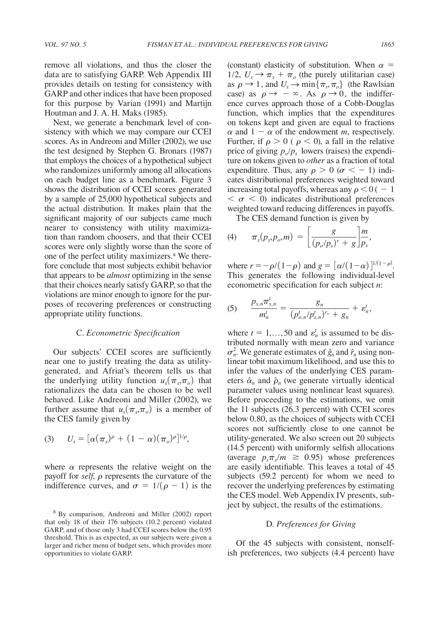remove all violations, and thus the closer the data are to satisfying GARP. Web Appendix III provides details on testing for consistency with GARP and other indices that have been proposed for this purpose by Varian (1991) and Martijn Houtman and J. A. H. Maks (1985).

Next, we generate a benchmark level of consistency with which we may compare our CCEI scores. As in Andreoni and Miller (2002), we use the test designed by Stephen G. Bronars (1987) that employs the choices of a hypothetical subject who randomizes uniformly among all allocations on each budget line as a benchmark. Figure 3 shows the distribution of CCEI scores generated by a sample of 25,000 hypothetical subjects and the actual distribution. It makes plain that the significant majority of our subjects came much nearer to consistency with utility maximization than random choosers, and that their CCEI scores were only slightly worse than the score of one of the perfect utility maximizers.<sup>8</sup> We therefore conclude that most subjects exhibit behavior that appears to be *almost* optimizing in the sense that their choices nearly satisfy GARP, so that the violations are minor enough to ignore for the purposes of recovering preferences or constructing appropriate utility functions.

### C. *Econometric Specification*

Our subjects' CCEI scores are sufficiently near one to justify treating the data as utilitygenerated, and Afriat's theorem tells us that the underlying utility function  $u_s(\pi_s, \pi_o)$  that rationalizes the data can be chosen to be well behaved. Like Andreoni and Miller (2002), we further assume that  $u_s(\pi_s, \pi_o)$  is a member of the CES family given by

$$
(3) \qquad U_s = [\alpha(\pi_s)^{\rho} + (1-\alpha)(\pi_o)^{\rho}]^{1/\rho},
$$

where  $\alpha$  represents the relative weight on the payoff for *self*,  $\rho$  represents the curvature of the indifference curves, and  $\sigma = 1/(\rho - 1)$  is the

(constant) elasticity of substitution. When  $\alpha =$ 1/2,  $U_s \rightarrow \pi_s + \pi_o$  (the purely utilitarian case) as  $\rho \to 1$ , and  $U_s \to \min\{\pi_s, \pi_o\}$  (the Rawlsian case) as  $\rho \rightarrow -\infty$ . As  $\rho \rightarrow 0$ , the indifference curves approach those of a Cobb-Douglas function, which implies that the expenditures on tokens kept and given are equal to fractions  $\alpha$  and  $1 - \alpha$  of the endowment *m*, respectively. Further, if  $\rho > 0$  (  $\rho < 0$ ), a fall in the relative price of giving  $p_o/p_s$  lowers (raises) the expenditure on tokens given to *other* as a fraction of total expenditure. Thus, any  $\rho > 0$  ( $\sigma < -1$ ) indicates distributional preferences weighted toward increasing total payoffs, whereas any  $\rho < 0$  ( - 1  $< \sigma < 0$ ) indicates distributional preferences weighted toward reducing differences in payoffs.

The CES demand function is given by

$$
(4) \qquad \pi_s(p_s, p_o, m) = \left[\frac{g}{(p_o/p_s)^r + g}\right] \frac{m}{p_s},
$$

where  $r = -\rho/(1-\rho)$  and  $g = [\alpha/(1-\alpha)]^{1/(1-\rho)}$ . This generates the following individual-level econometric specification for each subject *n*:

(5) 
$$
\frac{p_{s,n}\pi_{s,n}^t}{m_n^t} = \frac{g_n}{(p_{o,n}^t/p_{s,n}^t)^{r_n} + g_n} + \varepsilon_n^t,
$$

where  $t = 1, \ldots, 50$  and  $\varepsilon_n^t$  is assumed to be distributed normally with mean zero and variance  $\sigma_n^2$ . We generate estimates of  $\hat{g}_n$  and  $\hat{r}_n$  using nonlinear tobit maximum likelihood, and use this to infer the values of the underlying CES parameters  $\hat{\alpha}_n$  and  $\hat{\rho}_n$  (we generate virtually identical parameter values using nonlinear least squares). Before proceeding to the estimations, we omit the 11 subjects (26.3 percent) with CCEI scores below 0.80, as the choices of subjects with CCEI scores not sufficiently close to one cannot be utility-generated. We also screen out 20 subjects (14.5 percent) with uniformly selfish allocations (average  $p_s \pi_s/m \geq 0.95$ ) whose preferences are easily identifiable. This leaves a total of 45 subjects (59.2 percent) for whom we need to recover the underlying preferences by estimating the CES model. Web Appendix IV presents, subject by subject, the results of the estimations.

## D. *Preferences for Giving*

Of the 45 subjects with consistent, nonselfish preferences, two subjects (4.4 percent) have

<sup>8</sup> By comparison, Andreoni and Miller (2002) report that only 18 of their 176 subjects (10.2 percent) violated GARP, and of those only 3 had CCEI scores below the 0.95 threshold. This is as expected, as our subjects were given a larger and richer menu of budget sets, which provides more opportunities to violate GARP.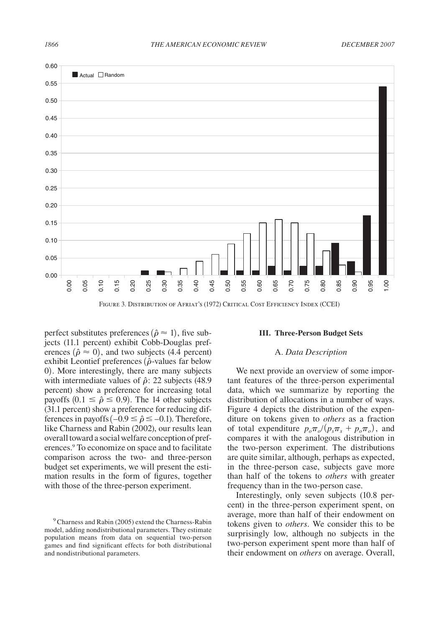

Figure 3. Distribution of Afriat's (1972) Critical Cost Efficiency Index (CCEI)

perfect substitutes preferences ( $\hat{\rho} \approx 1$ ), five subjects (11.1 percent) exhibit Cobb-Douglas preferences ( $\hat{\rho} \approx 0$ ), and two subjects (4.4 percent) exhibit Leontief preferences  $(\hat{\rho}$ -values far below 02. More interestingly, there are many subjects with intermediate values of  $\hat{\rho}$ : 22 subjects (48.9) percent) show a preference for increasing total payoffs  $(0.1 \le \hat{\rho} \le 0.9)$ . The 14 other subjects (31.1 percent) show a preference for reducing differences in payoffs  $(-0.9 \le \hat{\rho} \le -0.1)$ . Therefore, like Charness and Rabin (2002), our results lean overall toward a social welfare conception of preferences.<sup>9</sup> To economize on space and to facilitate comparison across the two- and three-person budget set experiments, we will present the estimation results in the form of figures, together with those of the three-person experiment.

#### **III. Three-Person Budget Sets**

#### A. *Data Description*

We next provide an overview of some important features of the three-person experimental data, which we summarize by reporting the distribution of allocations in a number of ways. Figure 4 depicts the distribution of the expenditure on tokens given to *others* as a fraction of total expenditure  $p_o\pi_o/(p_s\pi_s + p_o\pi_o)$ , and compares it with the analogous distribution in the two-person experiment. The distributions are quite similar, although, perhaps as expected, in the three-person case, subjects gave more than half of the tokens to *others* with greater frequency than in the two-person case.

Interestingly, only seven subjects (10.8 percent) in the three-person experiment spent, on average, more than half of their endowment on tokens given to *others*. We consider this to be surprisingly low, although no subjects in the two-person experiment spent more than half of their endowment on *others* on average. Overall,

<sup>&</sup>lt;sup>9</sup> Charness and Rabin (2005) extend the Charness-Rabin model, adding nondistributional parameters. They estimate population means from data on sequential two-person games and find significant effects for both distributional and nondistributional parameters.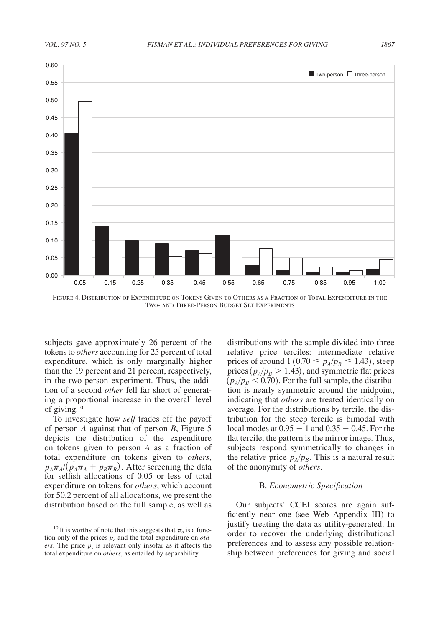

Figure 4. Distribution of Expenditure on Tokens Given to Others as a Fraction of Total Expenditure in the Two- and Three-Person Budget Set Experiments

subjects gave approximately 26 percent of the tokens to *others* accounting for 25 percent of total expenditure, which is only marginally higher than the 19 percent and 21 percent, respectively, in the two-person experiment. Thus, the addition of a second *other* fell far short of generating a proportional increase in the overall level of giving.10

To investigate how *self* trades off the payoff of person *A* against that of person *B*, Figure 5 depicts the distribution of the expenditure on tokens given to person *A* as a fraction of total expenditure on tokens given to *others*,  $p_A \pi_A/(p_A \pi_A + p_B \pi_B)$ . After screening the data for selfish allocations of 0.05 or less of total expenditure on tokens for *others*, which account for 50.2 percent of all allocations, we present the distribution based on the full sample, as well as distributions with the sample divided into three relative price terciles: intermediate relative prices of around  $1 (0.70 \le p_A/p_B \le 1.43)$ , steep prices ( $p_A/p_B > 1.43$ ), and symmetric flat prices  $(p_A/p_B < 0.70)$ . For the full sample, the distribution is nearly symmetric around the midpoint, indicating that *others* are treated identically on average. For the distributions by tercile, the distribution for the steep tercile is bimodal with local modes at  $0.95 - 1$  and  $0.35 - 0.45$ . For the flat tercile, the pattern is the mirror image. Thus, subjects respond symmetrically to changes in the relative price  $p_A/p_B$ . This is a natural result of the anonymity of *others*.

### B. *Econometric Specification*

Our subjects' CCEI scores are again sufficiently near one (see Web Appendix III) to justify treating the data as utility-generated. In order to recover the underlying distributional preferences and to assess any possible relationship between preferences for giving and social

<sup>&</sup>lt;sup>10</sup> It is worthy of note that this suggests that  $\pi$ <sub>*o*</sub> is a function only of the prices  $p<sub>o</sub>$  and the total expenditure on *others*. The price  $p<sub>s</sub>$  is relevant only insofar as it affects the total expenditure on *others*, as entailed by separability.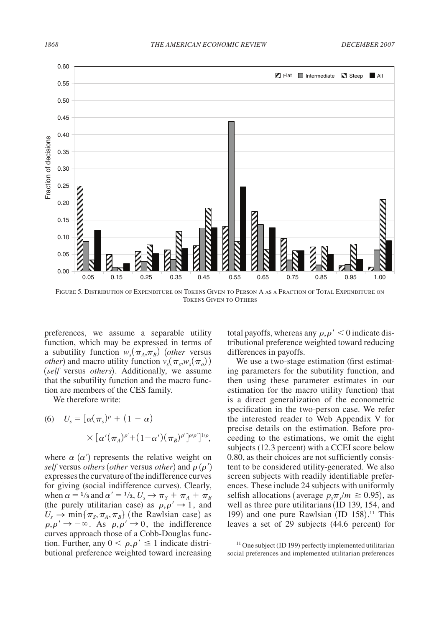

Figure 5. Distribution of Expenditure on Tokens Given to Person A as a Fraction of Total Expenditure on Tokens Given to Others

preferences, we assume a separable utility function, which may be expressed in terms of a subutility function  $w_s(\pi_A, \pi_B)$  *(other* versus *other*) and macro utility function  $v_s(\pi_s, w_s(\pi_o))$ *(self versus others)*. Additionally, we assume that the subutility function and the macro function are members of the CES family.

We therefore write:

(6) 
$$
U_s = \left[\alpha(\pi_s)^\rho + (1 - \alpha) \times \left[\alpha'(\pi_A)^\rho + (1 - \alpha')(\pi_B)^\rho\right]^{p/\rho'}\right]^{1/\rho},
$$

where  $\alpha$  ( $\alpha'$ ) represents the relative weight on *self* versus *others* (*other* versus *other*) and  $\rho$  ( $\rho'$ ) expresses the curvature of the indifference curves for giving (social indifference curves). Clearly, when  $\alpha = 1/3$  and  $\alpha' = 1/2$ ,  $U_s \rightarrow \pi_s + \pi_A + \pi_B$ (the purely utilitarian case) as  $\rho, \rho' \rightarrow 1$ , and  $U_s \rightarrow \min\{\pi_S, \pi_A, \pi_B\}$  (the Rawlsian case) as  $\rho,\rho' \to -\infty$ . As  $\rho,\rho' \to 0$ , the indifference curves approach those of a Cobb-Douglas function. Further, any  $0 < \rho, \rho' \le 1$  indicate distributional preference weighted toward increasing

total payoffs, whereas any  $\rho, \rho' < 0$  indicate distributional preference weighted toward reducing differences in payoffs.

We use a two-stage estimation (first estimating parameters for the subutility function, and then using these parameter estimates in our estimation for the macro utility function) that is a direct generalization of the econometric specification in the two-person case. We refer the interested reader to Web Appendix V for precise details on the estimation. Before proceeding to the estimations, we omit the eight subjects (12.3 percent) with a CCEI score below 0.80, as their choices are not sufficiently consistent to be considered utility-generated. We also screen subjects with readily identifiable preferences. These include 24 subjects with uniformly selfish allocations (average  $p_s \pi_s/m \ge 0.95$ ), as well as three pure utilitarians (ID 139, 154, and 199) and one pure Rawlsian (ID 158).<sup>11</sup> This leaves a set of 29 subjects (44.6 percent) for

<sup>&</sup>lt;sup>11</sup> One subject (ID 199) perfectly implemented utilitarian social preferences and implemented utilitarian preferences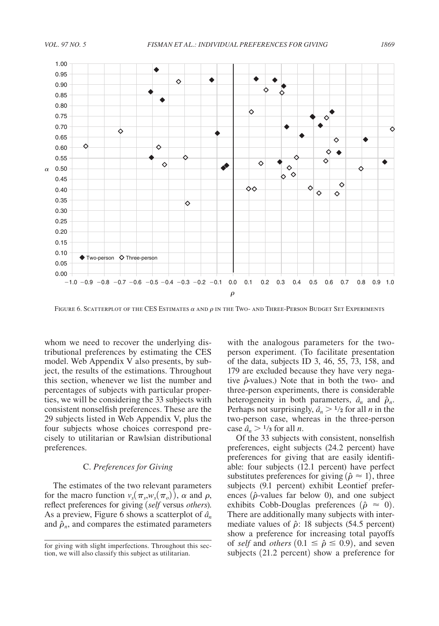

FIGURE 6. SCATTERPLOT OF THE CES ESTIMATES  $\alpha$  and  $\rho$  in the Two- and Three-Person Budget Set Experiments

whom we need to recover the underlying distributional preferences by estimating the CES model. Web Appendix V also presents, by subject, the results of the estimations. Throughout this section, whenever we list the number and percentages of subjects with particular properties, we will be considering the 33 subjects with consistent nonselfish preferences. These are the 29 subjects listed in Web Appendix V, plus the four subjects whose choices correspond precisely to utilitarian or Rawlsian distributional preferences.

### C. *Preferences for Giving*

The estimates of the two relevant parameters for the macro function  $v_s(\pi_s, w_s(\pi_o))$ ,  $\alpha$  and  $\rho$ , reflect preferences for giving (self versus *others*). As a preview, Figure 6 shows a scatterplot of *aˆn* and  $\hat{\rho}_n$ , and compares the estimated parameters

with the analogous parameters for the twoperson experiment. (To facilitate presentation of the data, subjects ID 3, 46, 55, 73, 158, and 179 are excluded because they have very negative  $\hat{\rho}$ -values.) Note that in both the two- and three-person experiments, there is considerable heterogeneity in both parameters,  $\hat{a}_n$  and  $\hat{p}_n$ . Perhaps not surprisingly,  $\hat{a}_n > 1/2$  for all *n* in the two-person case, whereas in the three-person case  $\hat{a}_n > 1/3$  for all *n*.

Of the 33 subjects with consistent, nonselfish preferences, eight subjects (24.2 percent) have preferences for giving that are easily identifiable: four subjects (12.1 percent) have perfect substitutes preferences for giving  $(\hat{\rho} \approx 1)$ , three subjects (9.1 percent) exhibit Leontief preferences  $(\hat{\rho}$ -values far below 0), and one subject exhibits Cobb-Douglas preferences  $(\hat{\rho} \approx 0)$ . There are additionally many subjects with intermediate values of  $\hat{\rho}$ : 18 subjects (54.5 percent) show a preference for increasing total payoffs of *self* and *others*  $(0.1 \le \hat{\rho} \le 0.9)$ , and seven subjects  $(21.2 \text{ percent})$  show a preference for

for giving with slight imperfections. Throughout this section, we will also classify this subject as utilitarian.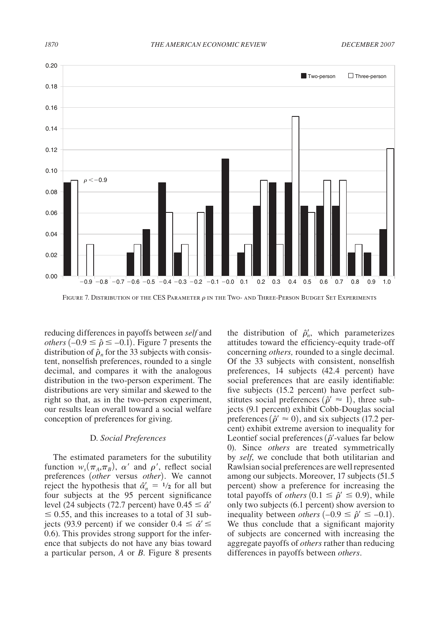

FIGURE 7. DISTRIBUTION OF THE CES PARAMETER  $\rho$  in the Two- and Three-Person Budget Set Experiments

reducing differences in payoffs between *self* and *others*  $(-0.9 \le \hat{\rho} \le -0.1)$ . Figure 7 presents the distribution of  $\hat{\rho}_n$  for the 33 subjects with consistent, nonselfish preferences, rounded to a single decimal, and compares it with the analogous distribution in the two-person experiment. The distributions are very similar and skewed to the right so that, as in the two-person experiment, our results lean overall toward a social welfare conception of preferences for giving.

#### D. *Social Preferences*

The estimated parameters for the subutility function  $w_s(\pi_A, \pi_B)$ ,  $\alpha'$  and  $\rho'$ , reflect social preferences (other versus other). We cannot reject the hypothesis that  $\hat{\alpha}'_n = \frac{1}{2}$  for all but four subjects at the 95 percent significance level (24 subjects (72.7 percent) have  $0.45 \leq \hat{\alpha}'$  $\leq$  0.55, and this increases to a total of 31 subjects (93.9 percent) if we consider  $0.4 \le \hat{\alpha} \le$ 0.6). This provides strong support for the inference that subjects do not have any bias toward a particular person, *A* or *B*. Figure 8 presents

the distribution of  $\hat{\rho}'_n$ , which parameterizes attitudes toward the efficiency-equity trade-off concerning *others,* rounded to a single decimal. Of the 33 subjects with consistent, nonselfish preferences, 14 subjects (42.4 percent) have social preferences that are easily identifiable: five subjects (15.2 percent) have perfect substitutes social preferences  $(\hat{\rho}' \approx 1)$ , three subjects (9.1 percent) exhibit Cobb-Douglas social preferences ( $\hat{\rho}' \approx 0$ ), and six subjects (17.2 percent) exhibit extreme aversion to inequality for Leontief social preferences  $\left(\hat{\rho}^\prime\text{-values far below}\right)$ 0). Since *others* are treated symmetrically by *self*, we conclude that both utilitarian and Rawlsian social preferences are well represented among our subjects. Moreover, 17 subjects (51.5 percent) show a preference for increasing the total payoffs of *others*  $(0.1 \le \hat{\rho}' \le 0.9)$ , while only two subjects (6.1 percent) show aversion to inequality between *others*  $(-0.9 \le \hat{\rho}' \le -0.1)$ . We thus conclude that a significant majority of subjects are concerned with increasing the aggregate payoffs of *others* rather than reducing differences in payoffs between *others*.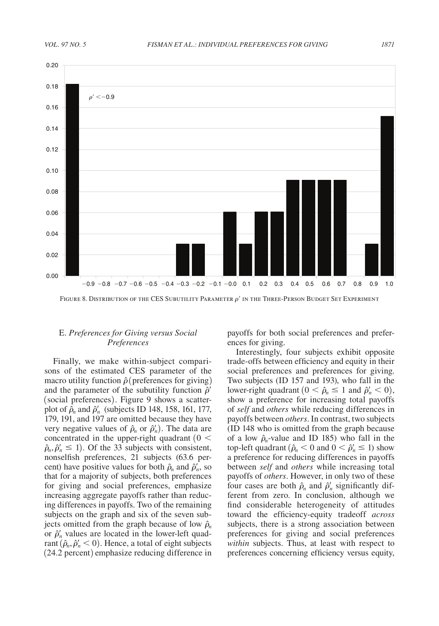

# FIGURE 8. DISTRIBUTION OF THE CES SUBUTILITY PARAMETER  $\rho'$  in the Three-Person Budget Set Experiment

# E. *Preferences for Giving versus Social Preferences*

Finally, we make within-subject comparisons of the estimated CES parameter of the macro utility function  $\hat{\rho}$  (preferences for giving) and the parameter of the subutility function  $\hat{\rho}'$  $(social preferences)$ . Figure 9 shows a scatterplot of  $\hat{\rho}_n$  and  $\hat{\rho}'_n$  (subjects ID 148, 158, 161, 177, 179, 191, and 197 are omitted because they have very negative values of  $\hat{\rho}_n$  or  $\hat{\rho}'_n$ ). The data are concentrated in the upper-right quadrant  $(0 <$  $\hat{\rho}_n, \hat{\rho}'_n \leq 1$ ). Of the 33 subjects with consistent, nonselfish preferences, 21 subjects (63.6 percent) have positive values for both  $\hat{\rho}_n$  and  $\hat{\rho}'_n$ , so that for a majority of subjects, both preferences for giving and social preferences, emphasize increasing aggregate payoffs rather than reducing differences in payoffs. Two of the remaining subjects on the graph and six of the seven subjects omitted from the graph because of low  $\hat{\rho}_n$ or  $\hat{\rho}'_n$  values are located in the lower-left quadrant  $(\hat{\rho}_n, \hat{\rho}'_n < 0)$ . Hence, a total of eight subjects  $(24.2$  percent) emphasize reducing difference in

payoffs for both social preferences and preferences for giving.

Interestingly, four subjects exhibit opposite trade-offs between efficiency and equity in their social preferences and preferences for giving. Two subjects (ID 157 and 193), who fall in the lower-right quadrant  $(0 < \hat{\rho}_n \le 1$  and  $\hat{\rho}'_n < 0$ ), show a preference for increasing total payoffs of *self* and *others* while reducing differences in payoffs between *others*. In contrast, two subjects (ID 148 who is omitted from the graph because of a low  $\hat{\rho}_n$ -value and ID 185) who fall in the top-left quadrant ( $\hat{\rho}_n < 0$  and  $0 < \hat{\rho}'_n \le 1$ ) show a preference for reducing differences in payoffs between *self* and *others* while increasing total payoffs of *others*. However, in only two of these four cases are both  $\hat{\rho}_n$  and  $\hat{\rho}'_n$  significantly different from zero. In conclusion, although we find considerable heterogeneity of attitudes toward the efficiency-equity tradeoff *across* subjects, there is a strong association between preferences for giving and social preferences *within* subjects. Thus, at least with respect to preferences concerning efficiency versus equity,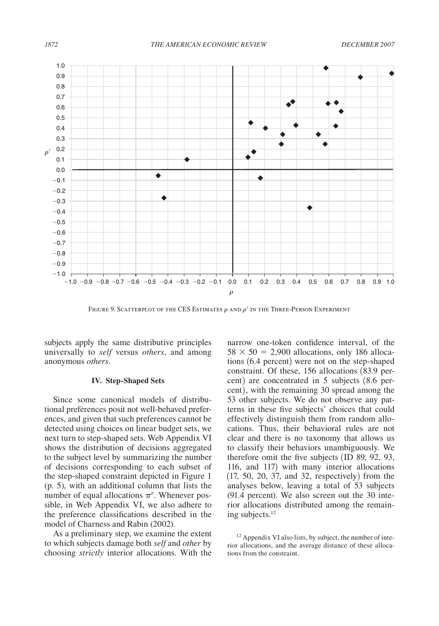

FIGURE 9. SCATTERPLOT OF THE CES ESTIMATES  $\rho$  and  $\rho'$  in the Three-Person Experiment

subjects apply the same distributive principles universally to *self* versus *others*, and among anonymous *others*.

### **IV. Step-Shaped Sets**

Since some canonical models of distributional preferences posit not well-behaved preferences, and given that such preferences cannot be detected using choices on linear budget sets, we next turn to step-shaped sets. Web Appendix VI shows the distribution of decisions aggregated to the subject level by summarizing the number of decisions corresponding to each subset of the step-shaped constraint depicted in Figure 1 (p. 5), with an additional column that lists the number of equal allocations  $\pi^e$ . Whenever possible, in Web Appendix VI, we also adhere to the preference classifications described in the model of Charness and Rabin (2002).

As a preliminary step, we examine the extent to which subjects damage both *self* and *other* by choosing *strictly* interior allocations. With the

narrow one-token confidence interval, of the  $58 \times 50 = 2,900$  allocations, only 186 allocations  $(6.4$  percent) were not on the step-shaped constraint. Of these,  $156$  allocations  $(83.9$  percent) are concentrated in  $5$  subjects  $(8.6$  percent), with the remaining 30 spread among the 53 other subjects. We do not observe any patterns in these five subjects' choices that could effectively distinguish them from random allocations. Thus, their behavioral rules are not clear and there is no taxonomy that allows us to classify their behaviors unambiguously. We therefore omit the five subjects (ID 89, 92, 93, 116, and 117) with many interior allocations  $(17, 50, 20, 37,$  and 32, respectively) from the analyses below, leaving a total of 53 subjects (91.4 percent). We also screen out the 30 interior allocations distributed among the remaining subjects.12

<sup>&</sup>lt;sup>12</sup> Appendix VI also lists, by subject, the number of interior allocations, and the average distance of these allocations from the constraint.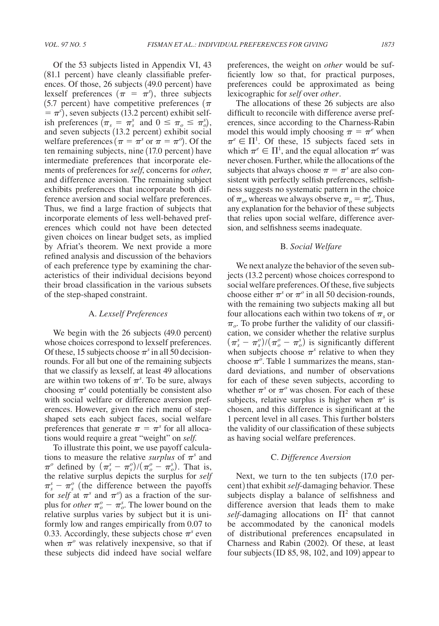Of the 53 subjects listed in Appendix VI, 43  $(81.1)$  percent) have cleanly classifiable preferences. Of those,  $26$  subjects  $(49.0 \text{ percent})$  have lexself preferences  $(\pi = \pi^s)$ , three subjects (5.7 percent) have competitive preferences ( $\pi$  $= \pi^c$ ), seven subjects (13.2 percent) exhibit selfish preferences  $(\pi_s = \pi_s^s \text{ and } 0 \le \pi_o \le \pi_o^s),$ and seven subjects (13.2 percent) exhibit social welfare preferences ( $\pi = \pi^s$  or  $\pi = \pi^o$ ). Of the ten remaining subjects, nine (17.0 percent) have intermediate preferences that incorporate elements of preferences for *self*, concerns for *other*, and difference aversion. The remaining subject exhibits preferences that incorporate both difference aversion and social welfare preferences. Thus, we find a large fraction of subjects that incorporate elements of less well-behaved preferences which could not have been detected given choices on linear budget sets, as implied by Afriat's theorem. We next provide a more refined analysis and discussion of the behaviors of each preference type by examining the characteristics of their individual decisions beyond their broad classification in the various subsets of the step-shaped constraint.

#### A. *Lexself Preferences*

We begin with the 26 subjects (49.0 percent) whose choices correspond to lexself preferences. Of these, 15 subjects choose  $\pi^s$  in all 50 decisionrounds. For all but one of the remaining subjects that we classify as lexself, at least 49 allocations are within two tokens of  $\pi^s$ . To be sure, always choosing  $\pi^s$  could potentially be consistent also with social welfare or difference aversion preferences. However, given the rich menu of stepshaped sets each subject faces, social welfare preferences that generate  $\pi = \pi^s$  for all allocations would require a great "weight" on *self*.

To illustrate this point, we use payoff calculations to measure the relative *surplus* of  $\pi^s$  and  $\pi^{\circ}$  defined by  $(\pi_s^s - \pi_s^o)/(\pi_o^o - \pi_o^s)$ . That is, the relative surplus depicts the surplus for *self*  $\pi_s^s$  –  $\pi_s^o$  (the difference between the payoffs for *self* at  $\pi^s$  and  $\pi^o$ ) as a fraction of the surplus for *other*  $\pi_o^o - \pi_o^s$ . The lower bound on the relative surplus varies by subject but it is uniformly low and ranges empirically from 0.07 to 0.33. Accordingly, these subjects chose  $\pi^s$  even when  $\pi$ <sup>o</sup> was relatively inexpensive, so that if these subjects did indeed have social welfare

preferences, the weight on *other* would be sufficiently low so that, for practical purposes, preferences could be approximated as being lexicographic for *self* over *other*.

The allocations of these 26 subjects are also difficult to reconcile with difference averse preferences, since according to the Charness-Rabin model this would imply choosing  $\pi = \pi^e$  when  $\pi^e \in \Pi^1$ . Of these, 15 subjects faced sets in which  $\pi^e \in \Pi^1$ , and the equal allocation  $\pi^e$  was never chosen. Further, while the allocations of the subjects that always choose  $\pi = \pi^s$  are also consistent with perfectly selfish preferences, selfishness suggests no systematic pattern in the choice of  $\pi_o$ , whereas we always observe  $\pi_o = \pi_o^s$ . Thus, any explanation for the behavior of these subjects that relies upon social welfare, difference aversion, and selfishness seems inadequate.

#### B. *Social Welfare*

We next analyze the behavior of the seven subjects (13.2 percent) whose choices correspond to social welfare preferences. Of these, five subjects choose either  $\pi^s$  or  $\pi^o$  in all 50 decision-rounds, with the remaining two subjects making all but four allocations each within two tokens of  $\pi<sub>s</sub>$  or  $\pi$ <sub>o</sub>. To probe further the validity of our classification, we consider whether the relative surplus  $(\pi_s^s - \pi_s^o)/(\pi_o^o - \pi_o^s)$  is significantly different when subjects choose  $\pi^s$  relative to when they choose  $\pi^o$ . Table 1 summarizes the means, standard deviations, and number of observations for each of these seven subjects, according to whether  $\pi^s$  or  $\pi^o$  was chosen. For each of these subjects, relative surplus is higher when  $\pi^s$  is chosen, and this difference is significant at the 1 percent level in all cases. This further bolsters the validity of our classification of these subjects as having social welfare preferences.

#### C. *Difference Aversion*

Next, we turn to the ten subjects (17.0 percent) that exhibit *self*-damaging behavior. These subjects display a balance of selfishness and difference aversion that leads them to make self-damaging allocations on  $\Pi^2$  that cannot be accommodated by the canonical models of distributional preferences encapsulated in Charness and Rabin (2002). Of these, at least four subjects  $(ID 85, 98, 102, and 109)$  appear to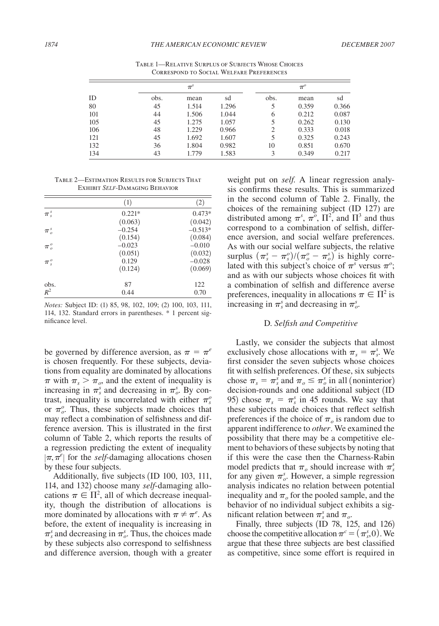|     | $\pi$ |       |       | $\pi^o$ |       |       |
|-----|-------|-------|-------|---------|-------|-------|
| ID  | obs.  | mean  | sd    | obs.    | mean  | sd    |
| 80  | 45    | 1.514 | 1.296 | 5       | 0.359 | 0.366 |
| 101 | 44    | 1.506 | 1.044 | 6       | 0.212 | 0.087 |
| 105 | 45    | 1.275 | 1.057 | 5       | 0.262 | 0.130 |
| 106 | 48    | 1.229 | 0.966 | 2       | 0.333 | 0.018 |
| 121 | 45    | 1.692 | 1.607 | 5       | 0.325 | 0.243 |
| 132 | 36    | 1.804 | 0.982 | 10      | 0.851 | 0.670 |
| 134 | 43    | 1.779 | 1.583 | 3       | 0.349 | 0.217 |

Table 1—Relative Surplus of Subjects Whose Choices Correspond to Social Welfare Preferences

Table 2—Estimation Results for Subjects That Exhibit *Self-*Damaging Behavior

|                                      | (1)      | (2)       |
|--------------------------------------|----------|-----------|
| $\pi_s^s$                            | $0.221*$ | $0.473*$  |
|                                      | (0.063)  | (0.042)   |
| $\pi_s^s$                            | $-0.254$ | $-0.513*$ |
|                                      | (0.154)  | (0.084)   |
| $\pi^o_{\scriptscriptstyle{\Omega}}$ | $-0.023$ | $-0.010$  |
|                                      | (0.051)  | (0.032)   |
| $\pi_s^o$                            | 0.129    | $-0.028$  |
|                                      | (0.124)  | (0.069)   |
| obs.                                 | 87       | 122       |
| $R^2$                                | 0.44     | 0.70      |

*Notes:* Subject ID: (1) 85, 98, 102, 109; (2) 100, 103, 111, 114, 132. Standard errors in parentheses. \* 1 percent significance level.

be governed by difference aversion, as  $\pi = \pi^e$ is chosen frequently. For these subjects, deviations from equality are dominated by allocations  $\pi$  with  $\pi$ <sub>s</sub>  $>$   $\pi$ <sub>o</sub>, and the extent of inequality is increasing in  $\pi_s^s$  and decreasing in  $\pi_o^s$ . By contrast, inequality is uncorrelated with either  $\pi_s^o$ or  $\pi^o$ . Thus, these subjects made choices that may reflect a combination of selfishness and difference aversion. This is illustrated in the first column of Table 2, which reports the results of a regression predicting the extent of inequality  $|\pi,\pi^e|$  for the *self*-damaging allocations chosen by these four subjects.

Additionally, five subjects (ID 100, 103, 111, 114, and 132) choose many *self*-damaging allocations  $\pi \in \Pi^2$ , all of which decrease inequality, though the distribution of allocations is more dominated by allocations with  $\pi \neq \pi^e$ . As before, the extent of inequality is increasing in  $\pi_s^s$  and decreasing in  $\pi_o^s$ . Thus, the choices made by these subjects also correspond to selfishness and difference aversion, though with a greater

weight put on *self*. A linear regression analysis confirms these results. This is summarized in the second column of Table 2. Finally, the choices of the remaining subject (ID 127) are distributed among  $\pi^s$ ,  $\pi^o$ ,  $\Pi^2$ , and  $\Pi^3$  and thus correspond to a combination of selfish, difference aversion, and social welfare preferences. As with our social welfare subjects, the relative surplus  $(\pi_s^s - \pi_s^o)/(\pi_o^o - \pi_o^s)$  is highly correlated with this subject's choice of  $\pi^s$  versus  $\pi^o$ ; and as with our subjects whose choices fit with a combination of selfish and difference averse preferences, inequality in allocations  $\pi \in \Pi^2$  is increasing in  $\pi_s^s$  and decreasing in  $\pi_o^s$ .

#### D. *Selfish and Competitive*

Lastly, we consider the subjects that almost exclusively chose allocations with  $\pi_s = \pi_s^s$ . We first consider the seven subjects whose choices fit with selfish preferences. Of these, six subjects chose  $\pi_s = \pi_s^s$  and  $\pi_o \le \pi_o^s$  in all (noninterior) decision-rounds and one additional subject (ID 95) chose  $\pi_s = \pi_s^s$  in 45 rounds. We say that these subjects made choices that reflect selfish preferences if the choice of  $\pi$ <sub>o</sub> is random due to apparent indifference to *other*. We examined the possibility that there may be a competitive element to behaviors of these subjects by noting that if this were the case then the Charness-Rabin model predicts that  $\pi$ <sub>*o*</sub> should increase with  $\pi$ <sup>*s*</sup></sup><sup>*s*</sup> for any given  $\pi_o^s$ . However, a simple regression analysis indicates no relation between potential inequality and  $\pi$ <sub>o</sub> for the pooled sample, and the behavior of no individual subject exhibits a significant relation between  $\pi_s^s$  and  $\pi_o$ .

Finally, three subjects (ID 78, 125, and 126) choose the competitive allocation  $\pi^c = (\pi_s^s, 0)$ . We argue that these three subjects are best classified as competitive, since some effort is required in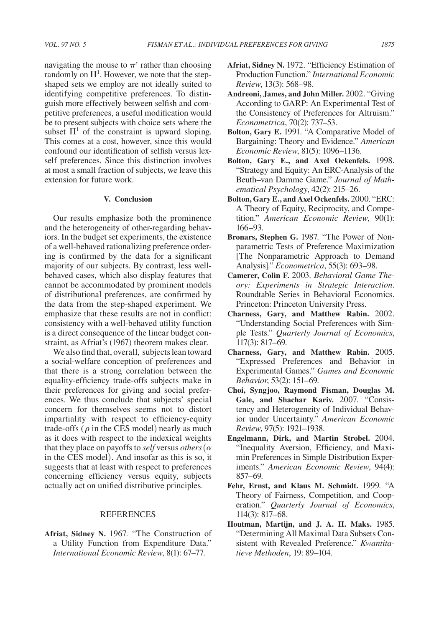navigating the mouse to  $\pi^c$  rather than choosing randomly on  $\Pi^1$ . However, we note that the stepshaped sets we employ are not ideally suited to identifying competitive preferences. To distinguish more effectively between selfish and competitive preferences, a useful modification would be to present subjects with choice sets where the subset  $\Pi^1$  of the constraint is upward sloping. This comes at a cost, however, since this would confound our identification of selfish versus lexself preferences. Since this distinction involves at most a small fraction of subjects, we leave this extension for future work.

#### **V. Conclusion**

Our results emphasize both the prominence and the heterogeneity of other-regarding behaviors. In the budget set experiments, the existence of a well-behaved rationalizing preference ordering is confirmed by the data for a significant majority of our subjects. By contrast, less wellbehaved cases, which also display features that cannot be accommodated by prominent models of distributional preferences, are confirmed by the data from the step-shaped experiment. We emphasize that these results are not in conflict: consistency with a well-behaved utility function is a direct consequence of the linear budget constraint, as Afriat's (1967) theorem makes clear.

We also find that, overall, subjects lean toward a social-welfare conception of preferences and that there is a strong correlation between the equality-efficiency trade-offs subjects make in their preferences for giving and social preferences. We thus conclude that subjects' special concern for themselves seems not to distort impartiality with respect to efficiency-equity trade-offs ( $\rho$  in the CES model) nearly as much as it does with respect to the indexical weights that they place on payoffs to *self* versus *others* ( $\alpha$ in the CES model). And insofar as this is so, it suggests that at least with respect to preferences concerning efficiency versus equity, subjects actually act on unified distributive principles.

## **REFERENCES**

**Afriat, Sidney N.** 1967. "The Construction of a Utility Function from Expenditure Data." *International Economic Review*, 8(1): 67–77.

- **Afriat, Sidney N.** 1972. "Efficiency Estimation of Production Function." *International Economic Review*, 13(3): 568–98.
- **Andreoni, James, and John Miller.** 2002. "Giving According to GARP: An Experimental Test of the Consistency of Preferences for Altruism." *Econometrica*, 70(2): 737–53.
- **Bolton, Gary E.** 1991. "A Comparative Model of Bargaining: Theory and Evidence." *American Economic Review*, 81(5): 1096–1136.
- **Bolton, Gary E., and Axel Ockenfels.** 1998. "Strategy and Equity: An ERC-Analysis of the Beuth–van Damme Game." *Journal of Mathematical Psychology*, 42(2): 215–26.
- **Bolton, Gary E., and Axel Ockenfels.** 2000. "ERC: A Theory of Equity, Reciprocity, and Competition." *American Economic Review*, 90(1): 166–93.
- **Bronars, Stephen G.** 1987. "The Power of Nonparametric Tests of Preference Maximization [The Nonparametric Approach to Demand Analysis]." *Econometrica*, 55(3): 693–98.
- **Camerer, Colin F.** 2003. *Behavioral Game Theory: Experiments in Strategic Interaction*. Roundtable Series in Behavioral Economics. Princeton: Princeton University Press.
- **Charness, Gary, and Matthew Rabin.** 2002. "Understanding Social Preferences with Simple Tests." *Quarterly Journal of Economics*, 117(3): 817–69.
- **Charness, Gary, and Matthew Rabin.** 2005. "Expressed Preferences and Behavior in Experimental Games." *Games and Economic Behavior*, 53(2): 151–69.
- **Choi, Syngjoo, Raymond Fisman, Douglas M. Gale, and Shachar Kariv.** 2007. "Consistency and Heterogeneity of Individual Behavior under Uncertainty." *American Economic Review*, 97(5): 1921–1938.
- **Engelmann, Dirk, and Martin Strobel.** 2004. "Inequality Aversion, Efficiency, and Maximin Preferences in Simple Distribution Experiments." *American Economic Review*, 94(4): 857–69.
- **Fehr, Ernst, and Klaus M. Schmidt.** 1999. "A Theory of Fairness, Competition, and Cooperation." *Quarterly Journal of Economics*, 114(3): 817–68.
- **Houtman, Martijn, and J. A. H. Maks.** 1985. "Determining All Maximal Data Subsets Consistent with Revealed Preference." *Kwantitatieve Methoden*, 19: 89–104.